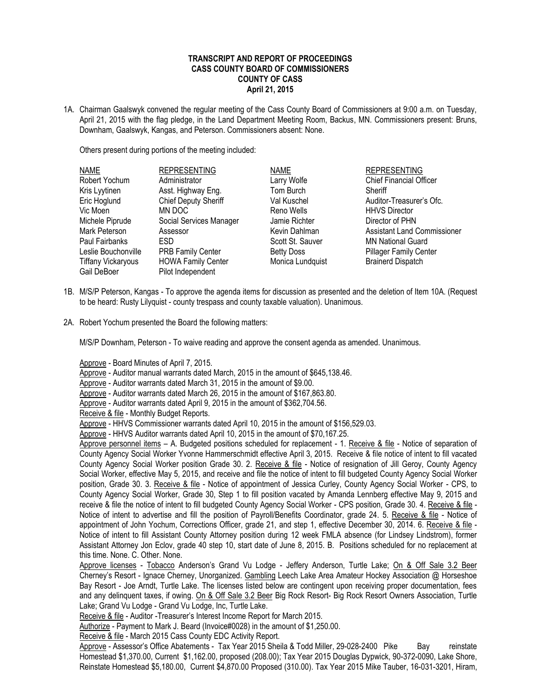## **TRANSCRIPT AND REPORT OF PROCEEDINGS CASS COUNTY BOARD OF COMMISSIONERS COUNTY OF CASS April 21, 2015**

1A. Chairman Gaalswyk convened the regular meeting of the Cass County Board of Commissioners at 9:00 a.m. on Tuesday, April 21, 2015 with the flag pledge, in the Land Department Meeting Room, Backus, MN. Commissioners present: Bruns, Downham, Gaalswyk, Kangas, and Peterson. Commissioners absent: None.

Others present during portions of the meeting included:

| <b>NAME</b>               | <b>REPRESENTING</b>         | <b>NAME</b>       | <b>REPRESENTING</b>                |
|---------------------------|-----------------------------|-------------------|------------------------------------|
| Robert Yochum             | Administrator               | Larry Wolfe       | <b>Chief Financial Officer</b>     |
| Kris Lyytinen             | Asst. Highway Eng.          | Tom Burch         | Sheriff                            |
| Eric Hoglund              | <b>Chief Deputy Sheriff</b> | Val Kuschel       | Auditor-Treasurer's Ofc.           |
| Vic Moen                  | MN DOC                      | Reno Wells        | <b>HHVS Director</b>               |
| Michele Piprude           | Social Services Manager     | Jamie Richter     | Director of PHN                    |
| Mark Peterson             | Assessor                    | Kevin Dahlman     | <b>Assistant Land Commissioner</b> |
| Paul Fairbanks            | <b>ESD</b>                  | Scott St. Sauver  | <b>MN National Guard</b>           |
| Leslie Bouchonville       | <b>PRB Family Center</b>    | <b>Betty Doss</b> | <b>Pillager Family Center</b>      |
| <b>Tiffany Vickaryous</b> | <b>HOWA Family Center</b>   | Monica Lundquist  | <b>Brainerd Dispatch</b>           |
| Gail DeBoer               | Pilot Independent           |                   |                                    |

- 1B. M/S/P Peterson, Kangas To approve the agenda items for discussion as presented and the deletion of Item 10A. (Request to be heard: Rusty Lilyquist - county trespass and county taxable valuation). Unanimous.
- 2A. Robert Yochum presented the Board the following matters:

M/S/P Downham, Peterson - To waive reading and approve the consent agenda as amended. Unanimous.

Approve - Board Minutes of April 7, 2015.

Approve - Auditor manual warrants dated March, 2015 in the amount of \$645,138.46.

Approve - Auditor warrants dated March 31, 2015 in the amount of \$9.00.

Approve - Auditor warrants dated March 26, 2015 in the amount of \$167,863.80.

Approve - Auditor warrants dated April 9, 2015 in the amount of \$362,704.56.

Receive & file - Monthly Budget Reports.

Approve - HHVS Commissioner warrants dated April 10, 2015 in the amount of \$156,529.03.

Approve - HHVS Auditor warrants dated April 10, 2015 in the amount of \$70,167.25.

Approve personnel items – A. Budgeted positions scheduled for replacement - 1. Receive & file - Notice of separation of County Agency Social Worker Yvonne Hammerschmidt effective April 3, 2015. Receive & file notice of intent to fill vacated County Agency Social Worker position Grade 30. 2. Receive & file - Notice of resignation of Jill Geroy, County Agency Social Worker, effective May 5, 2015, and receive and file the notice of intent to fill budgeted County Agency Social Worker position, Grade 30. 3. Receive & file - Notice of appointment of Jessica Curley, County Agency Social Worker - CPS, to County Agency Social Worker, Grade 30, Step 1 to fill position vacated by Amanda Lennberg effective May 9, 2015 and receive & file the notice of intent to fill budgeted County Agency Social Worker - CPS position, Grade 30. 4. Receive & file -Notice of intent to advertise and fill the position of Payroll/Benefits Coordinator, grade 24. 5. Receive & file - Notice of appointment of John Yochum, Corrections Officer, grade 21, and step 1, effective December 30, 2014. 6. Receive & file - Notice of intent to fill Assistant County Attorney position during 12 week FMLA absence (for Lindsey Lindstrom), former Assistant Attorney Jon Eclov, grade 40 step 10, start date of June 8, 2015. B. Positions scheduled for no replacement at this time. None. C. Other. None.

Approve licenses - Tobacco Anderson's Grand Vu Lodge - Jeffery Anderson, Turtle Lake; On & Off Sale 3.2 Beer Cherney's Resort - Ignace Cherney, Unorganized. Gambling Leech Lake Area Amateur Hockey Association @ Horseshoe Bay Resort - Joe Arndt, Turtle Lake. The licenses listed below are contingent upon receiving proper documentation, fees and any delinquent taxes, if owing. On & Off Sale 3.2 Beer Big Rock Resort- Big Rock Resort Owners Association, Turtle Lake; Grand Vu Lodge - Grand Vu Lodge, Inc, Turtle Lake.

Receive & file - Auditor -Treasurer's Interest Income Report for March 2015.

Authorize - Payment to Mark J. Beard (Invoice#0028) in the amount of \$1,250.00.

Receive & file - March 2015 Cass County EDC Activity Report.

Approve - Assessor's Office Abatements - Tax Year 2015 Sheila & Todd Miller, 29-028-2400 Pike Bay reinstate Homestead \$1,370.00, Current \$1,162.00, proposed (208.00); Tax Year 2015 Douglas Dypwick, 90-372-0090, Lake Shore, Reinstate Homestead \$5,180.00, Current \$4,870.00 Proposed (310.00). Tax Year 2015 Mike Tauber, 16-031-3201, Hiram,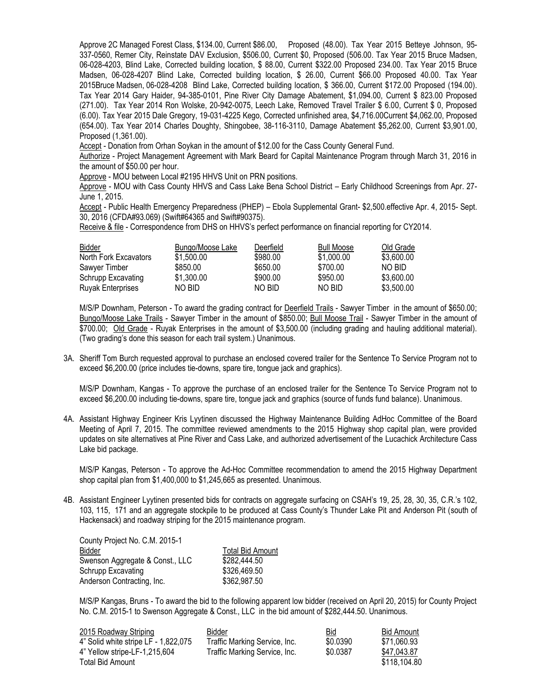Approve 2C Managed Forest Class, \$134.00, Current \$86.00, Proposed (48.00). Tax Year 2015 Betteye Johnson, 95- 337-0560, Remer City, Reinstate DAV Exclusion, \$506.00, Current \$0, Proposed (506.00. Tax Year 2015 Bruce Madsen, 06-028-4203, Blind Lake, Corrected building location, \$ 88.00, Current \$322.00 Proposed 234.00. Tax Year 2015 Bruce Madsen, 06-028-4207 Blind Lake, Corrected building location, \$ 26.00, Current \$66.00 Proposed 40.00. Tax Year 2015Bruce Madsen, 06-028-4208 Blind Lake, Corrected building location, \$ 366.00, Current \$172.00 Proposed (194.00). Tax Year 2014 Gary Haider, 94-385-0101, Pine River City Damage Abatement, \$1,094.00, Current \$ 823.00 Proposed (271.00). Tax Year 2014 Ron Wolske, 20-942-0075, Leech Lake, Removed Travel Trailer \$ 6.00, Current \$ 0, Proposed (6.00). Tax Year 2015 Dale Gregory, 19-031-4225 Kego, Corrected unfinished area, \$4,716.00Current \$4,062.00, Proposed (654.00). Tax Year 2014 Charles Doughty, Shingobee, 38-116-3110, Damage Abatement \$5,262.00, Current \$3,901.00, Proposed (1,361.00).

Accept - Donation from Orhan Soykan in the amount of \$12.00 for the Cass County General Fund.

Authorize - Project Management Agreement with Mark Beard for Capital Maintenance Program through March 31, 2016 in the amount of \$50.00 per hour.

Approve - MOU between Local #2195 HHVS Unit on PRN positions.

Approve - MOU with Cass County HHVS and Cass Lake Bena School District – Early Childhood Screenings from Apr. 27-June 1, 2015.

Accept - Public Health Emergency Preparedness (PHEP) – Ebola Supplemental Grant- \$2,500.effective Apr. 4, 2015- Sept. 30, 2016 (CFDA#93.069) (Swift#64365 and Swift#90375).

Receive & file - Correspondence from DHS on HHVS's perfect performance on financial reporting for CY2014.

| <u>Bidder</u>            | Bungo/Moose Lake | Deerfield | <b>Bull Moose</b> | Old Grade  |
|--------------------------|------------------|-----------|-------------------|------------|
| North Fork Excavators    | \$1,500.00       | \$980.00  | \$1,000.00        | \$3,600,00 |
| Sawyer Timber            | \$850.00         | \$650.00  | \$700.00          | NO BID.    |
| Schrupp Excavating       | \$1,300.00       | \$900.00  | \$950.00          | \$3,600,00 |
| <b>Ruyak Enterprises</b> | NO BID           | NO BID.   | NO BID            | \$3,500,00 |

M/S/P Downham, Peterson - To award the grading contract for Deerfield Trails - Sawyer Timber in the amount of \$650.00; Bungo/Moose Lake Trails - Sawyer Timber in the amount of \$850.00; Bull Moose Trail - Sawyer Timber in the amount of \$700.00; Old Grade - Ruyak Enterprises in the amount of \$3,500.00 (including grading and hauling additional material). (Two grading's done this season for each trail system.) Unanimous.

3A. Sheriff Tom Burch requested approval to purchase an enclosed covered trailer for the Sentence To Service Program not to exceed \$6,200.00 (price includes tie-downs, spare tire, tongue jack and graphics).

M/S/P Downham, Kangas - To approve the purchase of an enclosed trailer for the Sentence To Service Program not to exceed \$6,200.00 including tie-downs, spare tire, tongue jack and graphics (source of funds fund balance). Unanimous.

4A. Assistant Highway Engineer Kris Lyytinen discussed the Highway Maintenance Building AdHoc Committee of the Board Meeting of April 7, 2015. The committee reviewed amendments to the 2015 Highway shop capital plan, were provided updates on site alternatives at Pine River and Cass Lake, and authorized advertisement of the Lucachick Architecture Cass Lake bid package.

M/S/P Kangas, Peterson - To approve the Ad-Hoc Committee recommendation to amend the 2015 Highway Department shop capital plan from \$1,400,000 to \$1,245,665 as presented. Unanimous.

4B. Assistant Engineer Lyytinen presented bids for contracts on aggregate surfacing on CSAH's 19, 25, 28, 30, 35, C.R.'s 102, 103, 115, 171 and an aggregate stockpile to be produced at Cass County's Thunder Lake Pit and Anderson Pit (south of Hackensack) and roadway striping for the 2015 maintenance program.

| County Project No. C.M. 2015-1  |                         |
|---------------------------------|-------------------------|
| Bidder                          | <b>Total Bid Amount</b> |
| Swenson Aggregate & Const., LLC | \$282,444.50            |
| Schrupp Excavating              | \$326,469.50            |
| Anderson Contracting, Inc.      | \$362,987.50            |

M/S/P Kangas, Bruns - To award the bid to the following apparent low bidder (received on April 20, 2015) for County Project No. C.M. 2015-1 to Swenson Aggregate & Const., LLC in the bid amount of \$282,444.50. Unanimous.

| 2015 Roadway Striping                | Bidder                        | <b>Bid</b> | <b>Bid Amount</b> |
|--------------------------------------|-------------------------------|------------|-------------------|
| 4" Solid white stripe LF - 1,822,075 | Traffic Marking Service, Inc. | \$0.0390   | \$71.060.93       |
| 4" Yellow stripe-LF-1,215,604        | Traffic Marking Service, Inc. | \$0.0387   | \$47,043.87       |
| Total Bid Amount                     |                               |            | \$118.104.80      |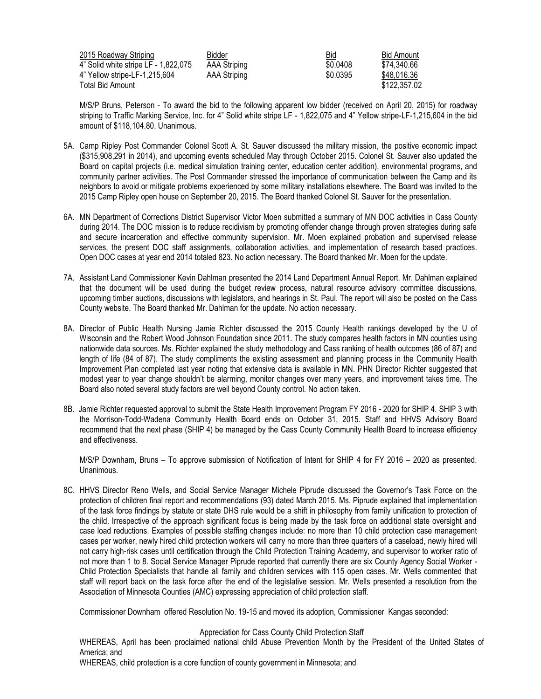| 2015 Roadway Striping                | Bidder       | <b>Bid</b> | Bid Amount   |
|--------------------------------------|--------------|------------|--------------|
| 4" Solid white stripe LF - 1,822,075 | AAA Striping | \$0.0408   | \$74.340.66  |
| 4" Yellow stripe-LF-1,215,604        | AAA Striping | \$0.0395   | \$48,016.36  |
| Total Bid Amount                     |              |            | \$122,357.02 |

M/S/P Bruns, Peterson - To award the bid to the following apparent low bidder (received on April 20, 2015) for roadway striping to Traffic Marking Service, Inc. for 4" Solid white stripe LF - 1,822,075 and 4" Yellow stripe-LF-1,215,604 in the bid amount of \$118,104.80. Unanimous.

- 5A. Camp Ripley Post Commander Colonel Scott A. St. Sauver discussed the military mission, the positive economic impact (\$315,908,291 in 2014), and upcoming events scheduled May through October 2015. Colonel St. Sauver also updated the Board on capital projects (i.e. medical simulation training center, education center addition), environmental programs, and community partner activities. The Post Commander stressed the importance of communication between the Camp and its neighbors to avoid or mitigate problems experienced by some military installations elsewhere. The Board was invited to the 2015 Camp Ripley open house on September 20, 2015. The Board thanked Colonel St. Sauver for the presentation.
- 6A. MN Department of Corrections District Supervisor Victor Moen submitted a summary of MN DOC activities in Cass County during 2014. The DOC mission is to reduce recidivism by promoting offender change through proven strategies during safe and secure incarceration and effective community supervision. Mr. Moen explained probation and supervised release services, the present DOC staff assignments, collaboration activities, and implementation of research based practices. Open DOC cases at year end 2014 totaled 823. No action necessary. The Board thanked Mr. Moen for the update.
- 7A. Assistant Land Commissioner Kevin Dahlman presented the 2014 Land Department Annual Report. Mr. Dahlman explained that the document will be used during the budget review process, natural resource advisory committee discussions, upcoming timber auctions, discussions with legislators, and hearings in St. Paul. The report will also be posted on the Cass County website. The Board thanked Mr. Dahlman for the update. No action necessary.
- 8A. Director of Public Health Nursing Jamie Richter discussed the 2015 County Health rankings developed by the U of Wisconsin and the Robert Wood Johnson Foundation since 2011. The study compares health factors in MN counties using nationwide data sources. Ms. Richter explained the study methodology and Cass ranking of health outcomes (86 of 87) and length of life (84 of 87). The study compliments the existing assessment and planning process in the Community Health Improvement Plan completed last year noting that extensive data is available in MN. PHN Director Richter suggested that modest year to year change shouldn't be alarming, monitor changes over many years, and improvement takes time. The Board also noted several study factors are well beyond County control. No action taken.
- 8B. Jamie Richter requested approval to submit the State Health Improvement Program FY 2016 2020 for SHIP 4. SHIP 3 with the Morrison-Todd-Wadena Community Health Board ends on October 31, 2015. Staff and HHVS Advisory Board recommend that the next phase (SHIP 4) be managed by the Cass County Community Health Board to increase efficiency and effectiveness.

M/S/P Downham, Bruns – To approve submission of Notification of Intent for SHIP 4 for FY 2016 – 2020 as presented. Unanimous.

8C. HHVS Director Reno Wells, and Social Service Manager Michele Piprude discussed the Governor's Task Force on the protection of children final report and recommendations (93) dated March 2015. Ms. Piprude explained that implementation of the task force findings by statute or state DHS rule would be a shift in philosophy from family unification to protection of the child. Irrespective of the approach significant focus is being made by the task force on additional state oversight and case load reductions. Examples of possible staffing changes include: no more than 10 child protection case management cases per worker, newly hired child protection workers will carry no more than three quarters of a caseload, newly hired will not carry high-risk cases until certification through the Child Protection Training Academy, and supervisor to worker ratio of not more than 1 to 8. Social Service Manager Piprude reported that currently there are six County Agency Social Worker - Child Protection Specialists that handle all family and children services with 115 open cases. Mr. Wells commented that staff will report back on the task force after the end of the legislative session. Mr. Wells presented a resolution from the Association of Minnesota Counties (AMC) expressing appreciation of child protection staff.

Commissioner Downham offered Resolution No. 19-15 and moved its adoption, Commissioner Kangas seconded:

## Appreciation for Cass County Child Protection Staff

WHEREAS, April has been proclaimed national child Abuse Prevention Month by the President of the United States of America; and

WHEREAS, child protection is a core function of county government in Minnesota; and